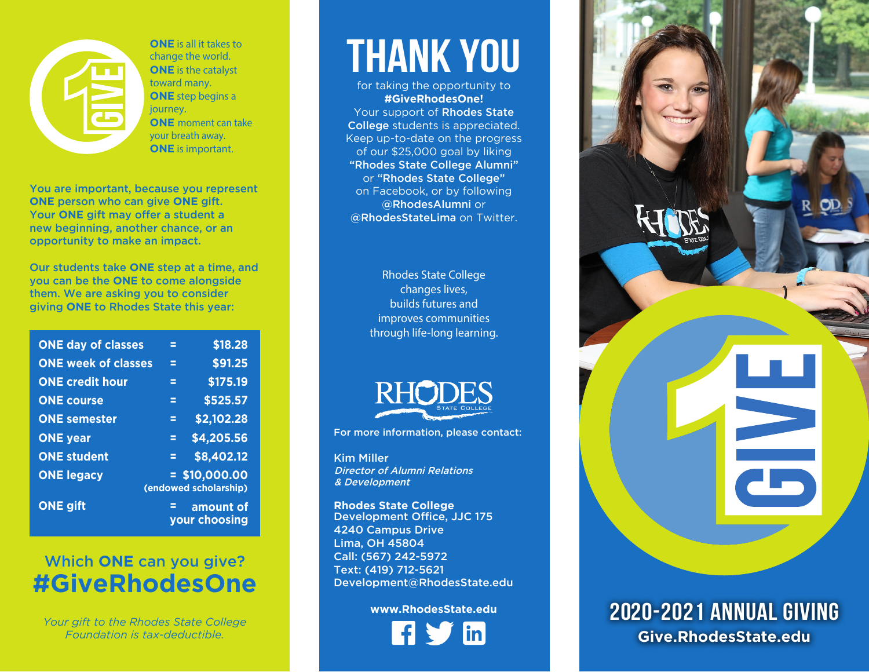

**ONE** is all it takes to change the world. **ONE** is the catalyst toward many. **ONE** step begins a journey. **ONE** moment can take your breath a w ay. **ONE** is important.

You are important, because you represent **ONE** person who can give **ONE** gift. Your **ONE** gift may offer a student a new beginning, another chance, or an opportunity to make an impact.

Our students take **ONE** step at a time, and you can be the **ONE** to come alongside them. We are asking you to consider giving **ONE** to Rhodes State this year:

| <b>ONE day of classes</b>  | Ξ                     | \$18.28                    |
|----------------------------|-----------------------|----------------------------|
| <b>ONE week of classes</b> | Ξ                     | \$91.25                    |
| <b>ONE credit hour</b>     | Ξ                     | \$175.19                   |
| <b>ONE course</b>          | Ξ                     | \$525.57                   |
| <b>ONE semester</b>        | Ξ                     | \$2,102.28                 |
| <b>ONE</b> year            | Ξ                     | \$4,205.56                 |
| <b>ONE student</b>         | Ξ                     | \$8,402.12                 |
| <b>ONE legacy</b>          | (endowed scholarship) | $= $10,000.00$             |
| <b>ONE gift</b>            | E                     | amount of<br>your choosing |

## Which **ONE** can you give? **#GiveRhodesOne**

*Your gift to the Rhodes State College Foundation is tax-deductible.*

# thank You

for taking the opportunity to **#GiveRhodesOne!**

Your support of Rhodes State College students is appreciated. Keep up-to-date on the progress of our \$25,000 goal by liking "Rhodes State College Alumni" or "Rhodes State College" on Facebook, or by following @RhodesAlumni or @RhodesStateLima on Twitter.

> Rhodes State College changes lives, builds futures and improves communities through life-long learning.



For more information, please contact:

Kim Miller Director of Alumni Relations & Development

**Rhodes State College** Development Office, JJC 175 4240 Campus Drive Lima, OH 45804 Call: (567) 242 -5972 Text: (419) 712-5621 Development@RhodesState.edu

#### **www.RhodesState.edu**



## 2020-2021 Annual Giving **Give.RhodesState.edu**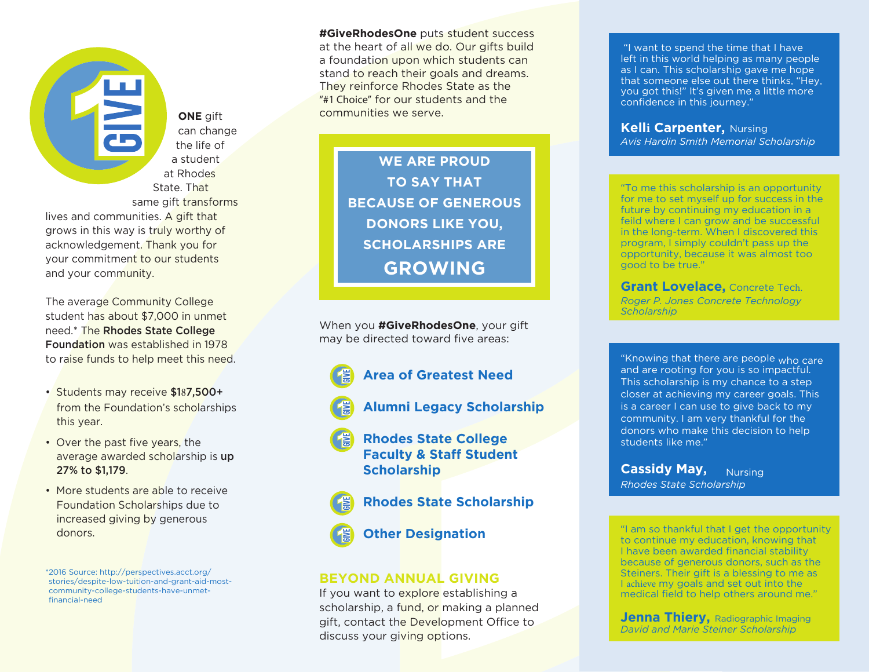**ONE** gift can change the life of a student at Rhodes State. That same gift transforms

lives and communities. A gift that grows in this way is truly worthy of acknowledgement. Thank you for your commitment to our students and your community.

The average Community College student has about \$7,000 in unmet need.\* The Rhodes State College Foundation was established in 1978 to raise funds to help meet this need.

- Students may receive \$187,500+ from the Foundation's scholarships this year.
- Over the past five years, the average awarded scholarship is up 27% to \$1,179.
- More students are able to receive Foundation Scholarships due to increased giving by generous donors.

\*2016 Source: http://perspectives.acct.org/ stories/despite-low-tuition-and-grant-aid-mostcommunity-college-students-have-unmetfinancial-need

**#GiveRhodesOne** puts student success at the heart of all we do. Our gifts build a foundation upon which students can stand to reach their goals and dreams. They reinforce Rhodes State as the "#1 Choice" for our students and the communities we serve.

> **WE ARE PROUD TO SAY THAT BECAUSE OF GENEROUS DONORS LIKE YOU, SCHOLARSHIPS ARE GROWING**

When you **#GiveRhodesOne**, your gift may be directed toward five areas:

- **Area of Greatest Need**
- **Alumni Legacy Scholarship**
- **Rhodes State College Faculty & Staff Student Scholarship**
- **Rhodes State Scholarship** 
	- **Other Designation**

### **BEYOND ANNUAL GIVING**

If you want to explore establishing a scholarship, a fund, or making a planned gift, contact the Development Office to discuss your giving options.

 "I want to spend the time that I have left in this world helping as many people as I can. This scholarship gave me hope that someone else out there thinks, "Hey, you got this!" It's given me a little more confidence in this journey."

**Kelli Carpenter,** Nursing *Avis Hardin Smith Memorial Scholarship*

"To me this scholarship is an opportunity for me to set myself up for success in the future by continuing my education in a feild where I can grow and be successful in the long-term. When I discovered this program, I simply couldn't pass up the opportunity, because it was almost too good to be true."

**Grant Lovelace,** Concrete Tech. *Roger P. Jones Concrete Technology Scholarship*

"Knowing that there are people <sub>who care</sub> and are rooting for you is so impactful. This scholarship is my chance to a step closer at achieving my career goals. This is a career I can use to give back to my community. I am very thankful for the donors who make this decision to help students like me."

**Cassidy May, Nursing** *Rhodes State Scholarship* 

"I am so thankful that I get the opportunity to continue my education, knowing that I have been awarded financial stability because of generous donors, such as the Steiners. Their gift is a blessing to me as I achieve my goals and set out into the medical field to help others around me."

**Jenna Thiery, Radiographic Imaging** *David and Marie Steiner Scholarship*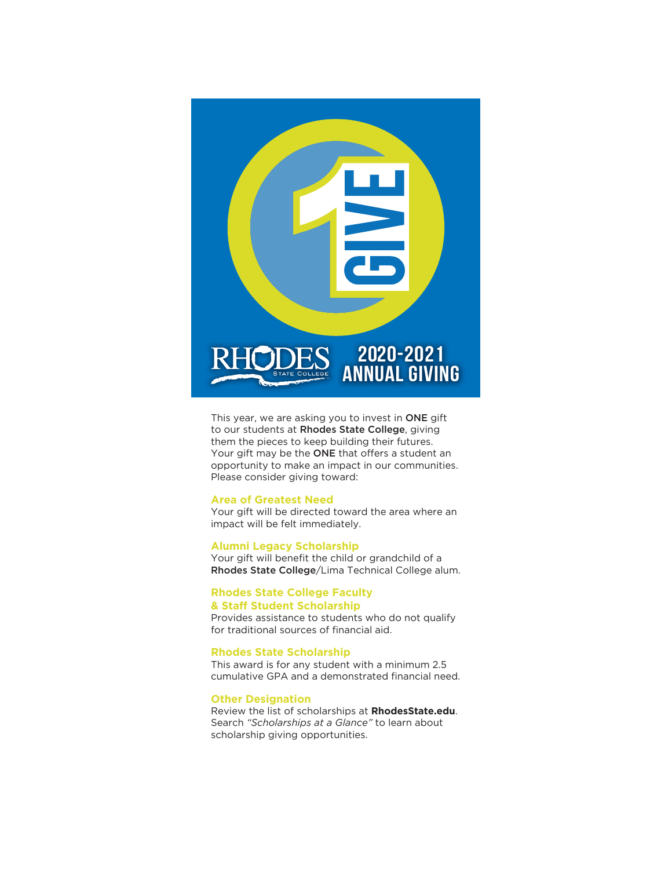

This year, we are asking you to invest in ONE gift to our students at Rhodes State College, giving them the pieces to keep building their futures. Your gift may be the ONE that offers a student an opportunity to make an impact in our communities. Please consider giving toward:

#### **Area of Greatest Need**

Your gift will be directed toward the area where an impact will be felt immediately.

#### **Alumni Legacy Scholarship**

Your gift will benefit the child or grandchild of a Rhodes State College/Lima Technical College alum.

#### **Rhodes State College Faculty & Staff Student Scholarship**

Provides assistance to students who do not qualify for traditional sources of financial aid.

#### **Rhodes State Scholarship**

This award is for any student with a minimum 2.5 cumulative GPA and a demonstrated financial need.

#### **Other Designation**

Review the list of scholarships at **RhodesState.edu**. Search *"Scholarships at a Glance"* to learn about scholarship giving opportunities.